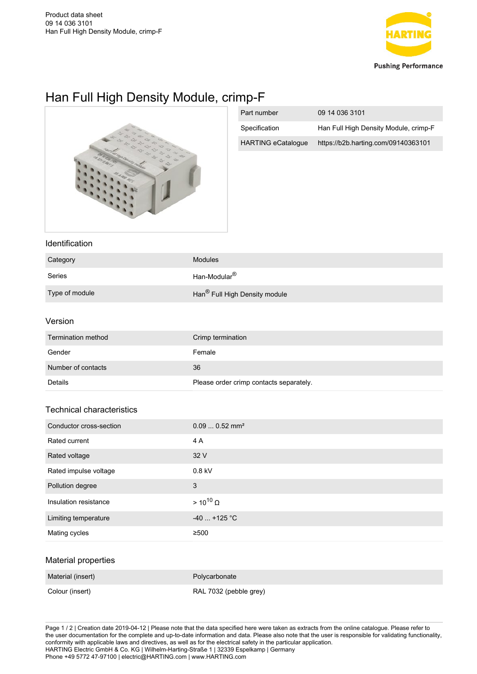

# Han Full High Density Module, crimp-F



| Part number               | 09 14 036 3101                        |
|---------------------------|---------------------------------------|
| Specification             | Han Full High Density Module, crimp-F |
| <b>HARTING eCatalogue</b> | https://b2b.harting.com/09140363101   |

### Identification

| Category       | Modules                                   |
|----------------|-------------------------------------------|
| Series         | Han-Modular <sup>®</sup>                  |
| Type of module | Han <sup>®</sup> Full High Density module |

#### Version

| Termination method | Crimp termination                       |
|--------------------|-----------------------------------------|
| Gender             | Female                                  |
| Number of contacts | 36                                      |
| Details            | Please order crimp contacts separately. |

## Technical characteristics

| Conductor cross-section | $0.090.52$ mm <sup>2</sup> |
|-------------------------|----------------------------|
| Rated current           | 4 A                        |
| Rated voltage           | 32 V                       |
| Rated impulse voltage   | $0.8$ kV                   |
| Pollution degree        | 3                          |
| Insulation resistance   | $> 10^{10}$ $\Omega$       |
| Limiting temperature    | $-40$ +125 °C              |
| Mating cycles           | ≥500                       |

#### Material properties

| Material (insert) | Polycarbonate          |
|-------------------|------------------------|
| Colour (insert)   | RAL 7032 (pebble grey) |

Page 1 / 2 | Creation date 2019-04-12 | Please note that the data specified here were taken as extracts from the online catalogue. Please refer to the user documentation for the complete and up-to-date information and data. Please also note that the user is responsible for validating functionality, conformity with applicable laws and directives, as well as for the electrical safety in the particular application. HARTING Electric GmbH & Co. KG | Wilhelm-Harting-Straße 1 | 32339 Espelkamp | Germany Phone +49 5772 47-97100 | electric@HARTING.com | www.HARTING.com